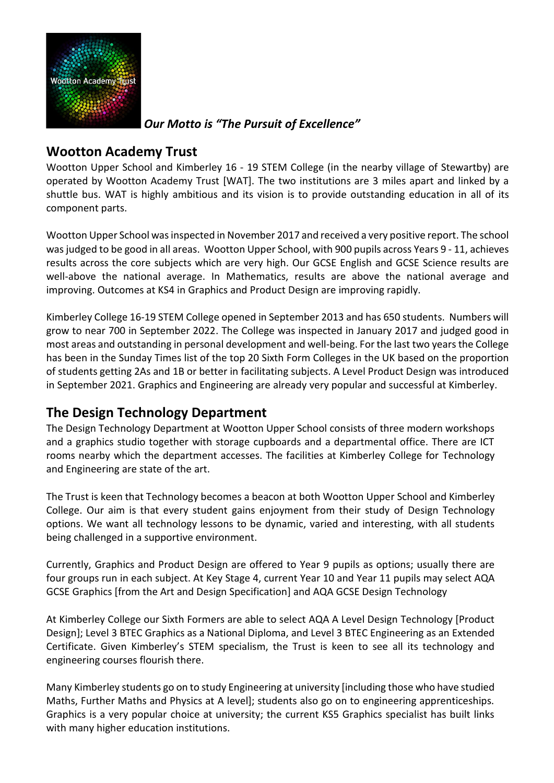

*Our Motto is "The Pursuit of Excellence"*

#### **Wootton Academy Trust**

Wootton Upper School and Kimberley 16 - 19 STEM College (in the nearby village of Stewartby) are operated by Wootton Academy Trust [WAT]. The two institutions are 3 miles apart and linked by a shuttle bus. WAT is highly ambitious and its vision is to provide outstanding education in all of its component parts.

Wootton Upper School wasinspected in November 2017 and received a very positive report. The school was judged to be good in all areas. Wootton Upper School, with 900 pupils across Years 9 - 11, achieves results across the core subjects which are very high. Our GCSE English and GCSE Science results are well-above the national average. In Mathematics, results are above the national average and improving. Outcomes at KS4 in Graphics and Product Design are improving rapidly.

Kimberley College 16-19 STEM College opened in September 2013 and has 650 students. Numbers will grow to near 700 in September 2022. The College was inspected in January 2017 and judged good in most areas and outstanding in personal development and well-being. For the last two yearsthe College has been in the Sunday Times list of the top 20 Sixth Form Colleges in the UK based on the proportion of students getting 2As and 1B or better in facilitating subjects. A Level Product Design was introduced in September 2021. Graphics and Engineering are already very popular and successful at Kimberley.

#### **The Design Technology Department**

The Design Technology Department at Wootton Upper School consists of three modern workshops and a graphics studio together with storage cupboards and a departmental office. There are ICT rooms nearby which the department accesses. The facilities at Kimberley College for Technology and Engineering are state of the art.

The Trust is keen that Technology becomes a beacon at both Wootton Upper School and Kimberley College. Our aim is that every student gains enjoyment from their study of Design Technology options. We want all technology lessons to be dynamic, varied and interesting, with all students being challenged in a supportive environment.

Currently, Graphics and Product Design are offered to Year 9 pupils as options; usually there are four groups run in each subject. At Key Stage 4, current Year 10 and Year 11 pupils may select AQA GCSE Graphics [from the Art and Design Specification] and AQA GCSE Design Technology

At Kimberley College our Sixth Formers are able to select AQA A Level Design Technology [Product Design]; Level 3 BTEC Graphics as a National Diploma, and Level 3 BTEC Engineering as an Extended Certificate. Given Kimberley's STEM specialism, the Trust is keen to see all its technology and engineering courses flourish there.

Many Kimberley students go on to study Engineering at university [including those who have studied Maths, Further Maths and Physics at A level]; students also go on to engineering apprenticeships. Graphics is a very popular choice at university; the current KS5 Graphics specialist has built links with many higher education institutions.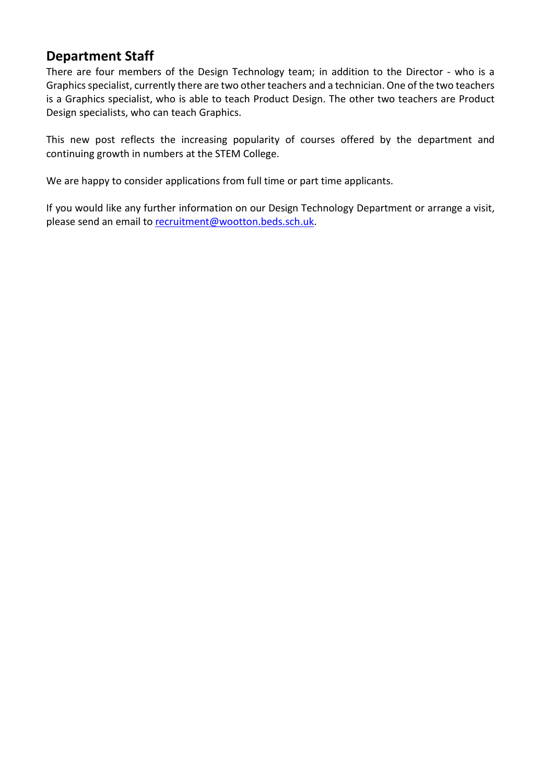#### **Department Staff**

There are four members of the Design Technology team; in addition to the Director - who is a Graphics specialist, currently there are two other teachers and a technician. One of the two teachers is a Graphics specialist, who is able to teach Product Design. The other two teachers are Product Design specialists, who can teach Graphics.

This new post reflects the increasing popularity of courses offered by the department and continuing growth in numbers at the STEM College.

We are happy to consider applications from full time or part time applicants.

If you would like any further information on our Design Technology Department or arrange a visit, please send an email to [recruitment@wootton.beds.sch.uk.](mailto:recruitment@wootton.beds.sch.uk)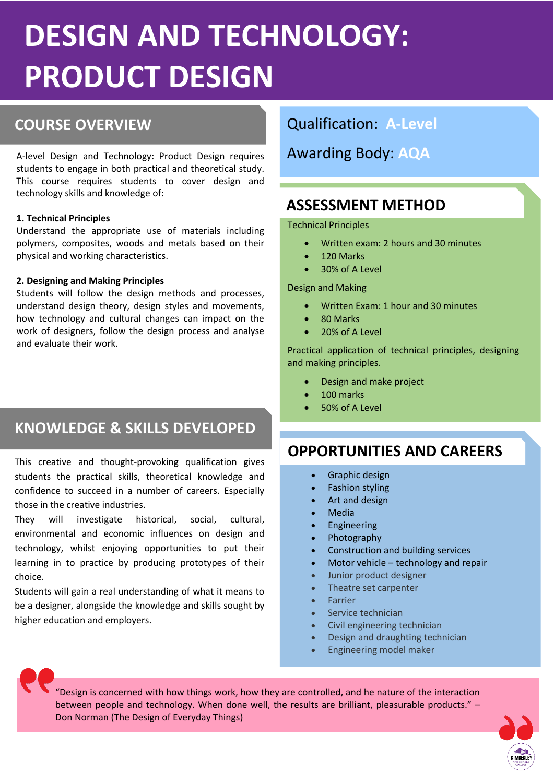# **DESIGN AND TECHNOLOGY: PRODUCT DESIGN**

#### **COURSE OVERVIEW**

A-level Design and Technology: Product Design requires students to engage in both practical and theoretical study. This course requires students to cover design and technology skills and knowledge of:

#### • **1. Technical Principles**

Understand the appropriate use of materials including polymers, composites, woods and metals based on their physical and working characteristics.

#### • **2. Designing and Making Principles**

Students will follow the design methods and processes, understand design theory, design styles and movements, how technology and cultural changes can impact on the work of designers, follow the design process and analyse and evaluate their work.

## **KNOWLEDGE & SKILLS DEVELOPED**

This creative and thought-provoking qualification gives students the practical skills, theoretical knowledge and confidence to succeed in a number of careers. Especially those in the creative industries.

They will investigate historical, social, cultural, environmental and economic influences on design and technology, whilst enjoying opportunities to put their learning in to practice by producing prototypes of their choice.

Students will gain a real understanding of what it means to be a designer, alongside the knowledge and skills sought by higher education and employers.

#### Qualification: **A-Level**

Awarding Body: **AQA**

#### **ASSESSMENT METHOD**

Technical Principles

- Written exam: 2 hours and 30 minutes
- 120 Marks
- 30% of A Level

Design and Making

- Written Exam: 1 hour and 30 minutes
- 80 Marks
- 20% of A Level

Practical application of technical principles, designing and making principles.

- Design and make project
- 100 marks
- 50% of A Level

## **OPPORTUNITIES AND CAREERS**

- Graphic design
- **Fashion styling**
- Art and design
- Media
- **Engineering**
- Photography
- Construction and building services
- Motor vehicle technology and repair
- Junior product designer
- Theatre set carpenter
- **Farrier**
- Service technician
- Civil engineering technician
- Design and draughting technician
- Engineering model maker

"Design is concerned with how things work, how they are controlled, and he nature of the interaction between people and technology. When done well, the results are brilliant, pleasurable products." – Don Norman (The Design of Everyday Things)

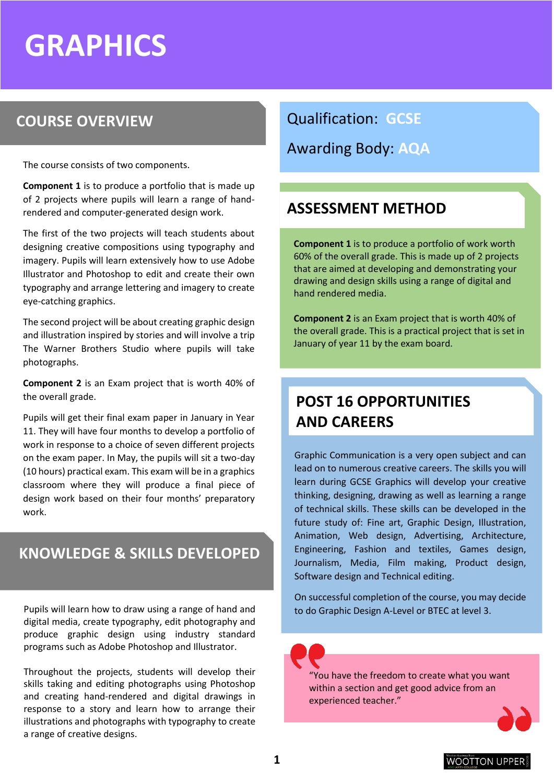## **GRAPHICS**

## **COURSE OVERVIEW**

The course consists of two components.

**Component 1** is to produce a portfolio that is made up of 2 projects where pupils will learn a range of handrendered and computer-generated design work.

The first of the two projects will teach students about designing creative compositions using typography and imagery. Pupils will learn extensively how to use Adobe Illustrator and Photoshop to edit and create their own typography and arrange lettering and imagery to create eye-catching graphics.

The second project will be about creating graphic design and illustration inspired by stories and will involve a trip The Warner Brothers Studio where pupils will take photographs.

**Component 2** is an Exam project that is worth 40% of the overall grade.

Pupils will get their final exam paper in January in Year 11. They will have four months to develop a portfolio of work in response to a choice of seven different projects on the exam paper. In May, the pupils will sit a two-day (10 hours) practical exam. This exam will be in a graphics classroom where they will produce a final piece of design work based on their four months' preparatory work.

#### **KNOWLEDGE & SKILLS DEVELOPED**

Pupils will learn how to draw using a range of hand and digital media, create typography, edit photography and produce graphic design using industry standard programs such as Adobe Photoshop and Illustrator.

Throughout the projects, students will develop their skills taking and editing photographs using Photoshop and creating hand-rendered and digital drawings in response to a story and learn how to arrange their illustrations and photographs with typography to create a range of creative designs.

Qualification: **GCSE**

Awarding Body: **AQA**

#### **ASSESSMENT METHOD**

**Component 1** is to produce a portfolio of work worth 60% of the overall grade. This is made up of 2 projects that are aimed at developing and demonstrating your drawing and design skills using a range of digital and hand rendered media.

**Component 2** is an Exam project that is worth 40% of the overall grade. This is a practical project that is set in January of year 11 by the exam board.

## **POST 16 OPPORTUNITIES AND CAREERS**

Graphic Communication is a very open subject and can lead on to numerous creative careers. The skills you will learn during GCSE Graphics will develop your creative thinking, designing, drawing as well as learning a range of technical skills. These skills can be developed in the future study of: Fine art, Graphic Design, Illustration, Animation, Web design, Advertising, Architecture, Engineering, Fashion and textiles, Games design, Journalism, Media, Film making, Product design, Software design and Technical editing.

On successful completion of the course, you may decide to do Graphic Design A-Level or BTEC at level 3.

"You have the freedom to create what you want within a section and get good advice from an experienced teacher."

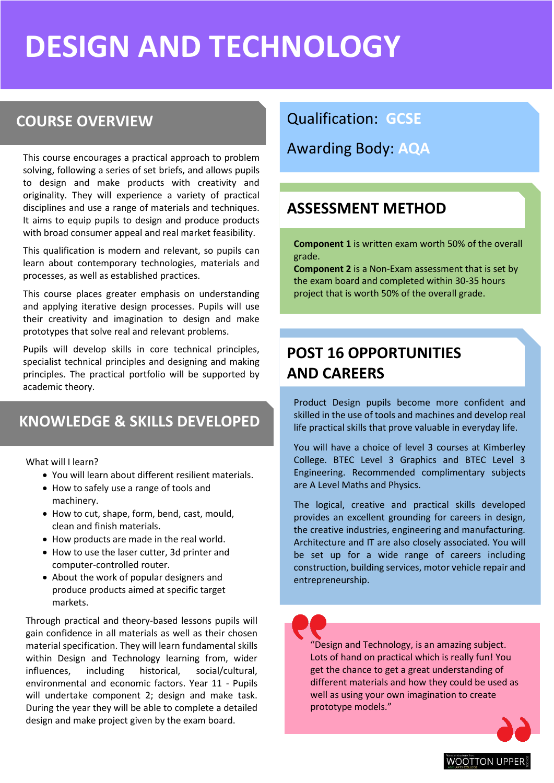## **DESIGN AND TECHNOLOGY**

### **COURSE OVERVIEW**

This course encourages a practical approach to problem solving, following a series of set briefs, and allows pupils to design and make products with creativity and originality. They will experience a variety of practical disciplines and use a range of materials and techniques. It aims to equip pupils to design and produce products with broad consumer appeal and real market feasibility.

This qualification is modern and relevant, so pupils can learn about contemporary technologies, materials and processes, as well as established practices.

This course places greater emphasis on understanding and applying iterative design processes. Pupils will use their creativity and imagination to design and make prototypes that solve real and relevant problems.

Pupils will develop skills in core technical principles, specialist technical principles and designing and making principles. The practical portfolio will be supported by academic theory.

### **KNOWLEDGE & SKILLS DEVELOPED**

What will I learn?

- You will learn about different resilient materials.
- How to safely use a range of tools and machinery.
- How to cut, shape, form, bend, cast, mould, clean and finish materials.
- How products are made in the real world.
- How to use the laser cutter, 3d printer and computer-controlled router.
- About the work of popular designers and produce products aimed at specific target markets.

Through practical and theory-based lessons pupils will gain confidence in all materials as well as their chosen material specification. They will learn fundamental skills within Design and Technology learning from, wider influences, including historical, social/cultural, environmental and economic factors. Year 11 - Pupils will undertake component 2; design and make task. During the year they will be able to complete a detailed design and make project given by the exam board.

Qualification: **GCSE**

Awarding Body: **AQA**

#### **ASSESSMENT METHOD**

**Component 1** is written exam worth 50% of the overall grade.

**Component 2** is a Non-Exam assessment that is set by the exam board and completed within 30-35 hours project that is worth 50% of the overall grade.

## **POST 16 OPPORTUNITIES AND CAREERS**

Product Design pupils become more confident and skilled in the use of tools and machines and develop real life practical skills that prove valuable in everyday life.

You will have a choice of level 3 courses at Kimberley College. BTEC Level 3 Graphics and BTEC Level 3 Engineering. Recommended complimentary subjects are A Level Maths and Physics.

The logical, creative and practical skills developed provides an excellent grounding for careers in design, the creative industries, engineering and manufacturing. Architecture and IT are also closely associated. You will be set up for a wide range of careers including construction, building services, motor vehicle repair and entrepreneurship.

"Design and Technology, is an amazing subject. Lots of hand on practical which is really fun! You get the chance to get a great understanding of different materials and how they could be used as well as using your own imagination to create prototype models."